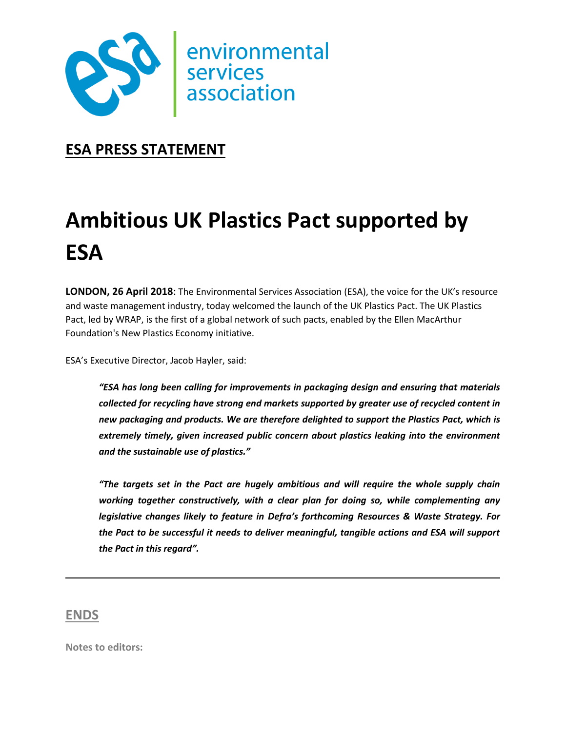

## **ESA PRESS STATEMENT**

# **Ambitious UK Plastics Pact supported by ESA**

**LONDON, 26 April 2018**: The Environmental Services Association (ESA), the voice for the UK's resource and waste management industry, today welcomed the launch of the UK Plastics Pact. The UK Plastics Pact, led by WRAP, is the first of a global network of such pacts, enabled by the Ellen MacArthur Foundation's New Plastics Economy initiative.

ESA's Executive Director, Jacob Hayler, said:

*"ESA has long been calling for improvements in packaging design and ensuring that materials collected for recycling have strong end markets supported by greater use of recycled content in new packaging and products. We are therefore delighted to support the Plastics Pact, which is extremely timely, given increased public concern about plastics leaking into the environment and the sustainable use of plastics."*

*"The targets set in the Pact are hugely ambitious and will require the whole supply chain working together constructively, with a clear plan for doing so, while complementing any legislative changes likely to feature in Defra's forthcoming Resources & Waste Strategy. For the Pact to be successful it needs to deliver meaningful, tangible actions and ESA will support the Pact in this regard".*

### **ENDS**

**Notes to editors:**